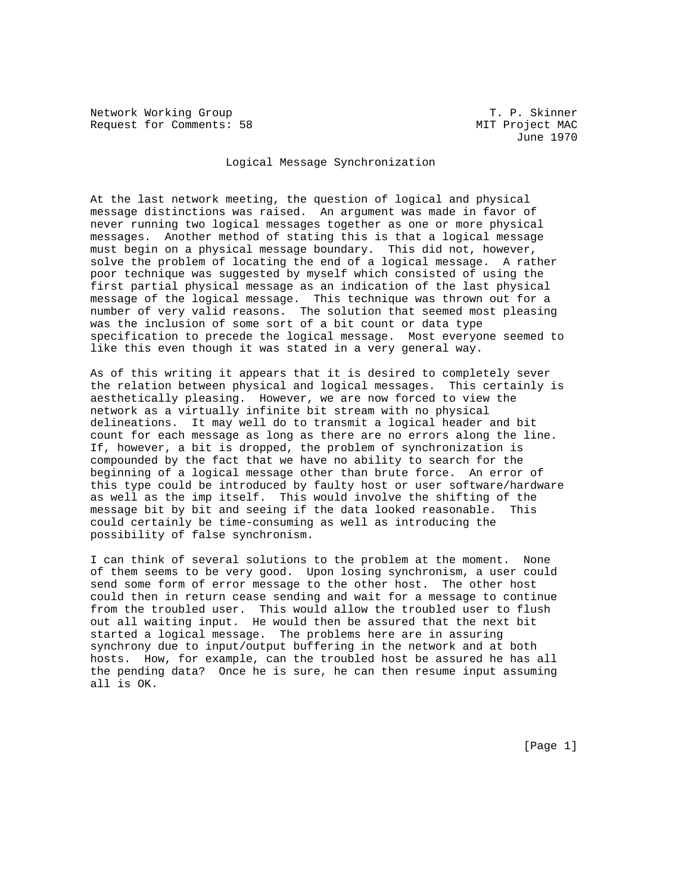Network Working Group T. P. Skinner Request for Comments: 58 MIT Project MAC

June 1970

## Logical Message Synchronization

At the last network meeting, the question of logical and physical message distinctions was raised. An argument was made in favor of never running two logical messages together as one or more physical messages. Another method of stating this is that a logical message must begin on a physical message boundary. This did not, however, solve the problem of locating the end of a logical message. A rather poor technique was suggested by myself which consisted of using the first partial physical message as an indication of the last physical message of the logical message. This technique was thrown out for a number of very valid reasons. The solution that seemed most pleasing was the inclusion of some sort of a bit count or data type specification to precede the logical message. Most everyone seemed to like this even though it was stated in a very general way.

As of this writing it appears that it is desired to completely sever the relation between physical and logical messages. This certainly is aesthetically pleasing. However, we are now forced to view the network as a virtually infinite bit stream with no physical delineations. It may well do to transmit a logical header and bit count for each message as long as there are no errors along the line. If, however, a bit is dropped, the problem of synchronization is compounded by the fact that we have no ability to search for the beginning of a logical message other than brute force. An error of this type could be introduced by faulty host or user software/hardware as well as the imp itself. This would involve the shifting of the message bit by bit and seeing if the data looked reasonable. This could certainly be time-consuming as well as introducing the possibility of false synchronism.

I can think of several solutions to the problem at the moment. None of them seems to be very good. Upon losing synchronism, a user could send some form of error message to the other host. The other host could then in return cease sending and wait for a message to continue from the troubled user. This would allow the troubled user to flush out all waiting input. He would then be assured that the next bit started a logical message. The problems here are in assuring synchrony due to input/output buffering in the network and at both hosts. How, for example, can the troubled host be assured he has all the pending data? Once he is sure, he can then resume input assuming all is OK.

[Page 1]